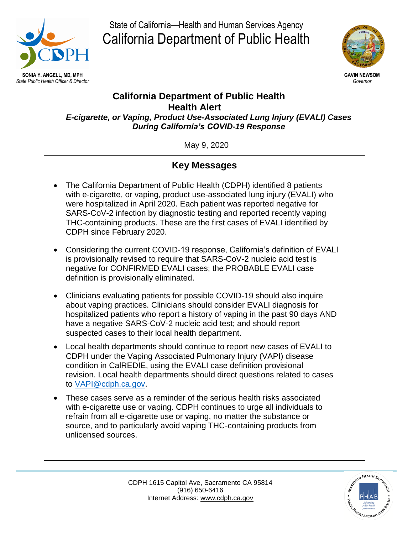

State of California—Health and Human Services Agency California Department of Public Health



### **California Department of Public Health Health Alert** *E-cigarette, or Vaping, Product Use-Associated Lung Injury (EVALI) Cases*

*During California's COVID-19 Response*

May 9, 2020

# **Key Messages**

- The California Department of Public Health (CDPH) identified 8 patients with e-cigarette, or vaping, product use-associated lung injury (EVALI) who were hospitalized in April 2020. Each patient was reported negative for SARS-CoV-2 infection by diagnostic testing and reported recently vaping THC-containing products. These are the first cases of EVALI identified by CDPH since February 2020.
- Considering the current COVID-19 response, California's definition of EVALI is provisionally revised to require that SARS-CoV-2 nucleic acid test is negative for CONFIRMED EVALI cases; the PROBABLE EVALI case definition is provisionally eliminated.
- Clinicians evaluating patients for possible COVID-19 should also inquire about vaping practices. Clinicians should consider EVALI diagnosis for hospitalized patients who report a history of vaping in the past 90 days AND have a negative SARS-CoV-2 nucleic acid test; and should report suspected cases to their local health department.
- Local health departments should continue to report new cases of EVALI to CDPH under the Vaping Associated Pulmonary Injury (VAPI) disease condition in CalREDIE, using the EVALI case definition provisional revision. Local health departments should direct questions related to cases to [VAPI@cdph.ca.gov.](mailto:VAPI@cdph.ca.gov)
- These cases serve as a reminder of the serious health risks associated with e-cigarette use or vaping. CDPH continues to urge all individuals to refrain from all e-cigarette use or vaping, no matter the substance or source, and to particularly avoid vaping THC-containing products from unlicensed sources.

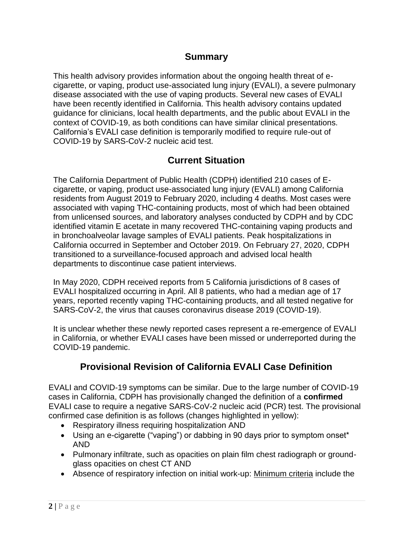## **Summary**

This health advisory provides information about the ongoing health threat of ecigarette, or vaping, product use-associated lung injury (EVALI), a severe pulmonary disease associated with the use of vaping products. Several new cases of EVALI have been recently identified in California. This health advisory contains updated guidance for clinicians, local health departments, and the public about EVALI in the context of COVID-19, as both conditions can have similar clinical presentations. California's EVALI case definition is temporarily modified to require rule-out of COVID-19 by SARS-CoV-2 nucleic acid test.

## **Current Situation**

The California Department of Public Health (CDPH) identified 210 cases of Ecigarette, or vaping, product use-associated lung injury (EVALI) among California residents from August 2019 to February 2020, including 4 deaths. Most cases were associated with vaping THC-containing products, most of which had been obtained from unlicensed sources, and laboratory analyses conducted by CDPH and by CDC identified vitamin E acetate in many recovered THC-containing vaping products and in bronchoalveolar lavage samples of EVALI patients. Peak hospitalizations in California occurred in September and October 2019. On February 27, 2020, CDPH transitioned to a surveillance-focused approach and advised local health departments to discontinue case patient interviews.

In May 2020, CDPH received reports from 5 California jurisdictions of 8 cases of EVALI hospitalized occurring in April. All 8 patients, who had a median age of 17 years, reported recently vaping THC-containing products, and all tested negative for SARS-CoV-2, the virus that causes coronavirus disease 2019 (COVID-19).

It is unclear whether these newly reported cases represent a re-emergence of EVALI in California, or whether EVALI cases have been missed or underreported during the COVID-19 pandemic.

# **Provisional Revision of California EVALI Case Definition**

EVALI and COVID-19 symptoms can be similar. Due to the large number of COVID-19 cases in California, CDPH has provisionally changed the definition of a **confirmed** EVALI case to require a negative SARS-CoV-2 nucleic acid (PCR) test. The provisional confirmed case definition is as follows (changes highlighted in yellow):

- Respiratory illness requiring hospitalization AND
- Using an e-cigarette ("vaping") or dabbing in 90 days prior to symptom onset\* AND
- Pulmonary infiltrate, such as opacities on plain film chest radiograph or groundglass opacities on chest CT AND
- Absence of respiratory infection on initial work-up: Minimum criteria include the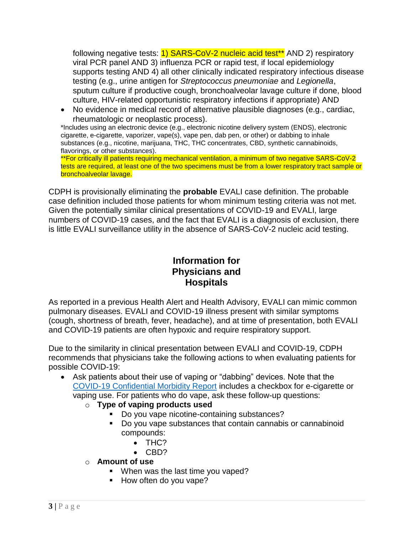following negative tests: **1) SARS-CoV-2 nucleic acid test<sup>\*\*</sup> AND 2**) respiratory viral PCR panel AND 3) influenza PCR or rapid test, if local epidemiology supports testing AND 4) all other clinically indicated respiratory infectious disease testing (e.g., urine antigen for *Streptococcus pneumoniae* and *Legionella*, sputum culture if productive cough, bronchoalveolar lavage culture if done, blood culture, HIV-related opportunistic respiratory infections if appropriate) AND

 No evidence in medical record of alternative plausible diagnoses (e.g., cardiac, rheumatologic or neoplastic process).

\*Includes using an electronic device (e.g., electronic nicotine delivery system (ENDS), electronic cigarette, e-cigarette, vaporizer, vape(s), vape pen, dab pen, or other) or dabbing to inhale substances (e.g., nicotine, marijuana, THC, THC concentrates, CBD, synthetic cannabinoids, flavorings, or other substances).

\*\*For critically ill patients requiring mechanical ventilation, a minimum of two negative SARS-CoV-2 tests are required, at least one of the two specimens must be from a lower respiratory tract sample or bronchoalveolar lavage.

CDPH is provisionally eliminating the **probable** EVALI case definition. The probable case definition included those patients for whom minimum testing criteria was not met. Given the potentially similar clinical presentations of COVID-19 and EVALI, large numbers of COVID-19 cases, and the fact that EVALI is a diagnosis of exclusion, there is little EVALI surveillance utility in the absence of SARS-CoV-2 nucleic acid testing.

## **Information for Physicians and Hospitals**

As reported in a previous Health Alert and Health Advisory, EVALI can mimic common pulmonary diseases. EVALI and COVID-19 illness present with similar symptoms (cough, shortness of breath, fever, headache), and at time of presentation, both EVALI and COVID-19 patients are often hypoxic and require respiratory support.

Due to the similarity in clinical presentation between EVALI and COVID-19, CDPH recommends that physicians take the following actions to when evaluating patients for possible COVID-19:

- Ask patients about their use of vaping or "dabbing" devices. Note that the [COVID-19 Confidential Morbidity Report](https://www.cdph.ca.gov/CDPH%20Document%20Library/ControlledForms/cdph110d.pdf) includes a checkbox for e-cigarette or vaping use. For patients who do vape, ask these follow-up questions:
	- o **Type of vaping products used** 
		- Do you vape nicotine-containing substances?
		- Do you vape substances that contain cannabis or cannabinoid compounds:
			- THC?
			- $\bullet$  CBD?
	- o **Amount of use** 
		- **When was the last time you vaped?**
		- How often do you vape?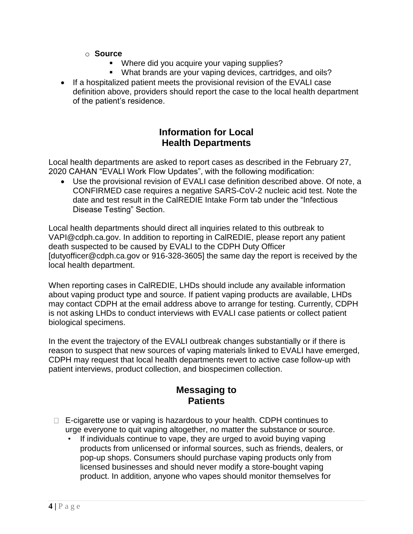#### o **Source**

- Where did you acquire your vaping supplies?
- What brands are your vaping devices, cartridges, and oils?
- If a hospitalized patient meets the provisional revision of the EVALI case definition above, providers should report the case to the local health department of the patient's residence.

### **Information for Local Health Departments**

Local health departments are asked to report cases as described in the February 27, 2020 CAHAN "EVALI Work Flow Updates", with the following modification:

 Use the provisional revision of EVALI case definition described above. Of note, a CONFIRMED case requires a negative SARS-CoV-2 nucleic acid test. Note the date and test result in the CalREDIE Intake Form tab under the "Infectious Disease Testing" Section.

Local health departments should direct all inquiries related to this outbreak to VAPI@cdph.ca.gov. In addition to reporting in CalREDIE, please report any patient death suspected to be caused by EVALI to the CDPH Duty Officer [dutyofficer@cdph.ca.gov or 916-328-3605] the same day the report is received by the local health department.

When reporting cases in CalREDIE, LHDs should include any available information about vaping product type and source. If patient vaping products are available, LHDs may contact CDPH at the email address above to arrange for testing. Currently, CDPH is not asking LHDs to conduct interviews with EVALI case patients or collect patient biological specimens.

In the event the trajectory of the EVALI outbreak changes substantially or if there is reason to suspect that new sources of vaping materials linked to EVALI have emerged, CDPH may request that local health departments revert to active case follow-up with patient interviews, product collection, and biospecimen collection.

## **Messaging to Patients**

- $\Box$  E-cigarette use or vaping is hazardous to your health. CDPH continues to urge everyone to quit vaping altogether, no matter the substance or source.
	- If individuals continue to vape, they are urged to avoid buying vaping products from unlicensed or informal sources, such as friends, dealers, or pop-up shops. Consumers should purchase vaping products only from licensed businesses and should never modify a store-bought vaping product. In addition, anyone who vapes should monitor themselves for